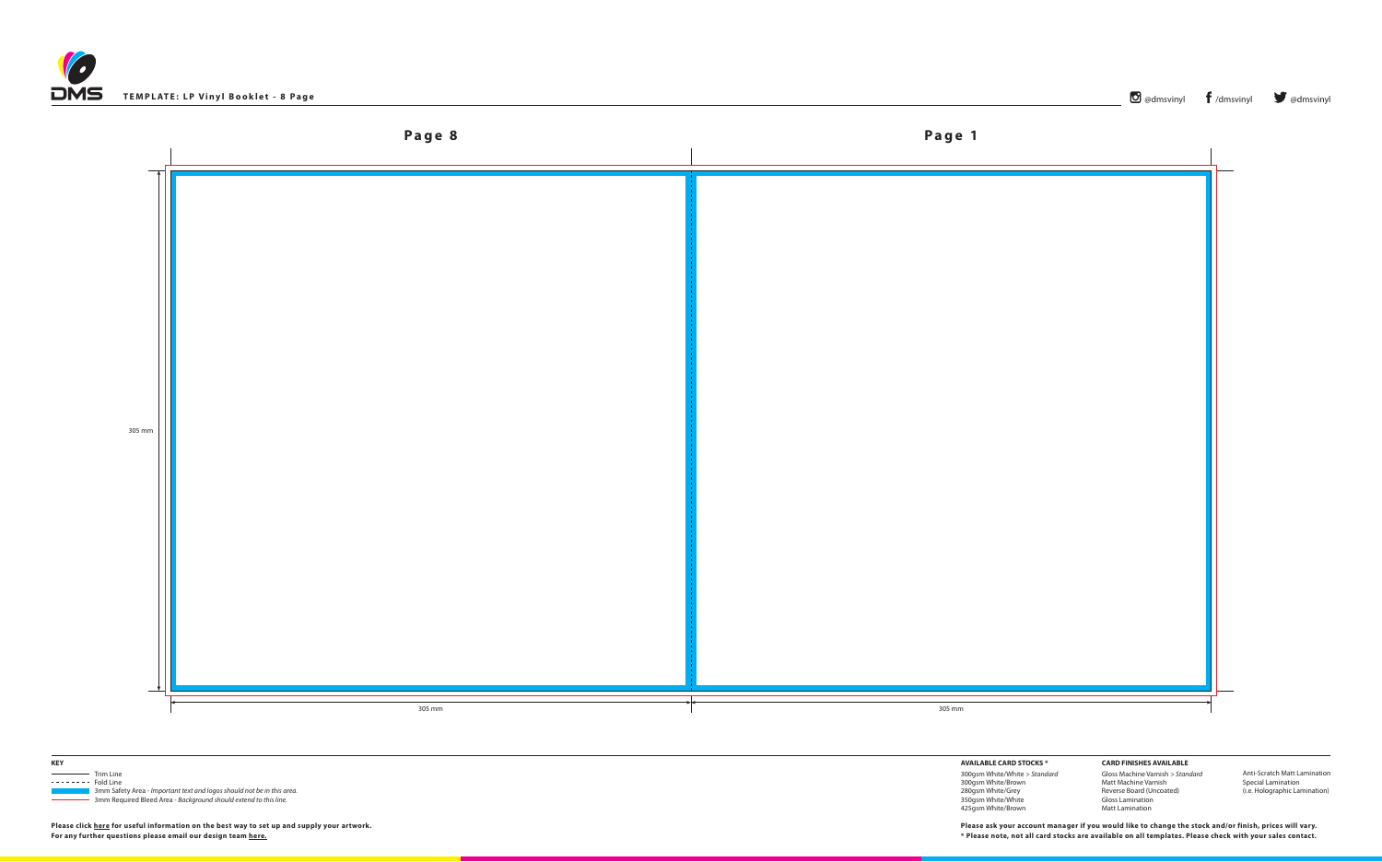





 3mm Safety Area - *Important text and logos should not be in this area*. 3mm Required Bleed Area - *Background should extend to this line.*

**AVAILABLE CARD STOCKS \***

300gsm White/White *> Standard* 300gsm White/Brown 280gsm White/Grey 350gsm White/White 425gsm White/Brown

**CARD FINISHES AVAILABLE** Gloss Machine Varnish *> Standard* Matt Machine Varnish Reverse Board (Uncoated) Gloss Lamination Matt Lamination

Anti-Scratch Matt Lamination Special Lamination (i.e. Holographic Lamination)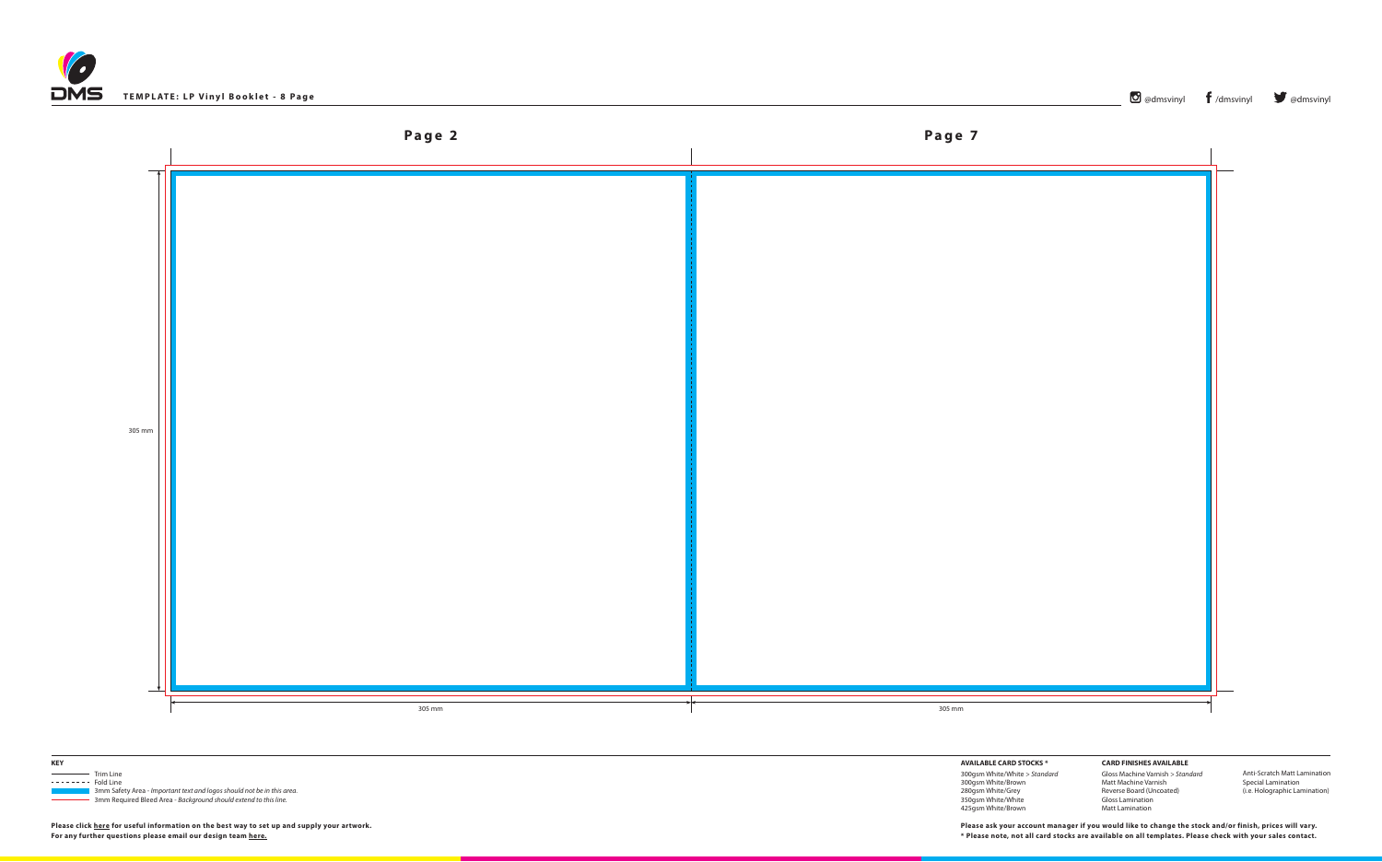





 3mm Safety Area - *Important text and logos should not be in this area*. 3mm Required Bleed Area - *Background should extend to this line.*

## **AVAILABLE CARD STOCKS \***

300gsm White/White *> Standard* 300gsm White/Brown 280gsm White/Grey 350gsm White/White 425gsm White/Brown

**CARD FINISHES AVAILABLE** Gloss Machine Varnish *> Standard* Matt Machine Varnish Reverse Board (Uncoated) Gloss Lamination Matt Lamination

Anti-Scratch Matt Lamination Special Lamination (i.e. Holographic Lamination)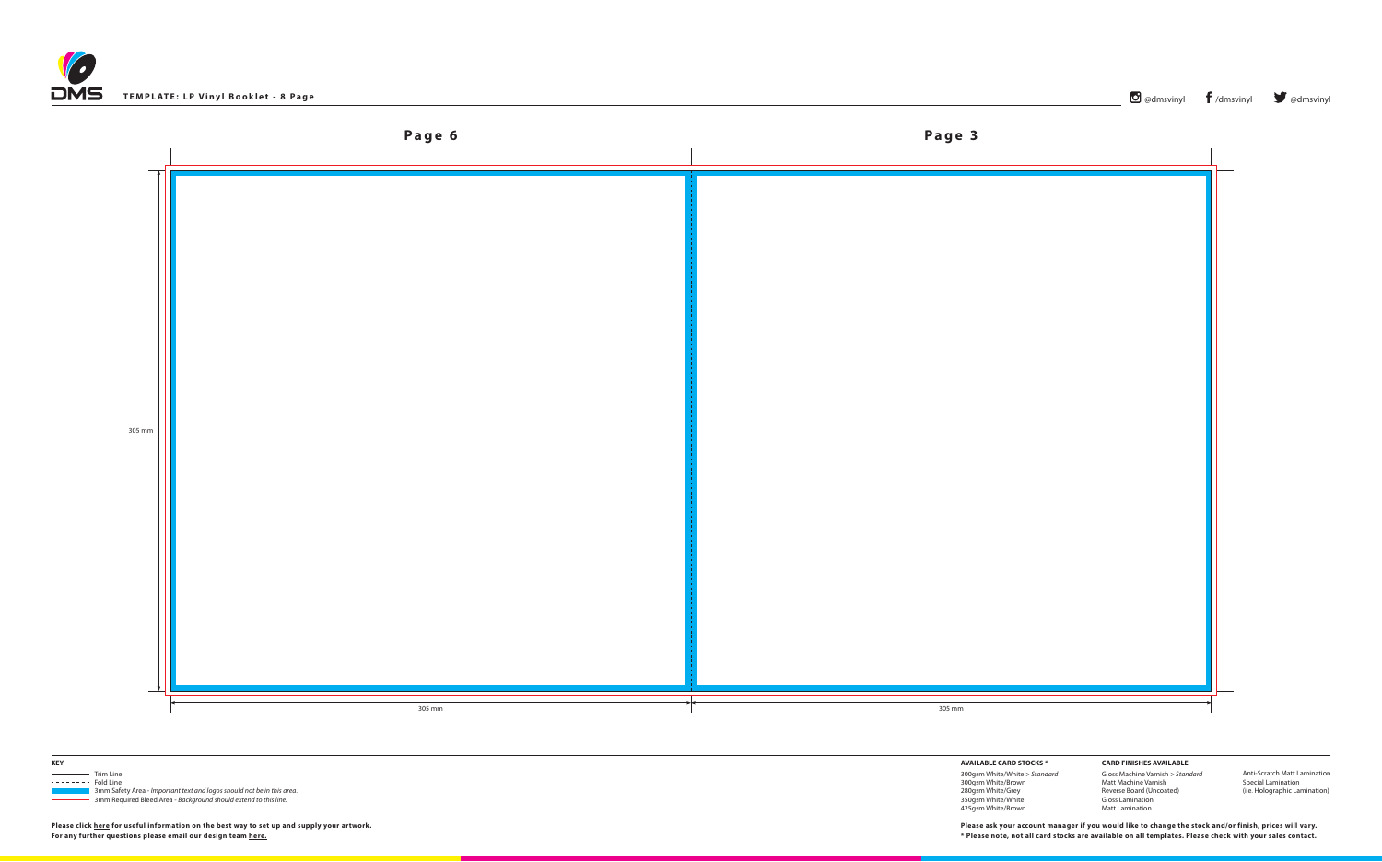





 3mm Safety Area - *Important text and logos should not be in this area*. 3mm Required Bleed Area - *Background should extend to this line.*

**AVAILABLE CARD STOCKS \***

300gsm White/White *> Standard* 300gsm White/Brown 280gsm White/Grey 350gsm White/White 425gsm White/Brown

**CARD FINISHES AVAILABLE** Gloss Machine Varnish *> Standard* Matt Machine Varnish Reverse Board (Uncoated) Gloss Lamination Matt Lamination

Anti-Scratch Matt Lamination Special Lamination (i.e. Holographic Lamination)